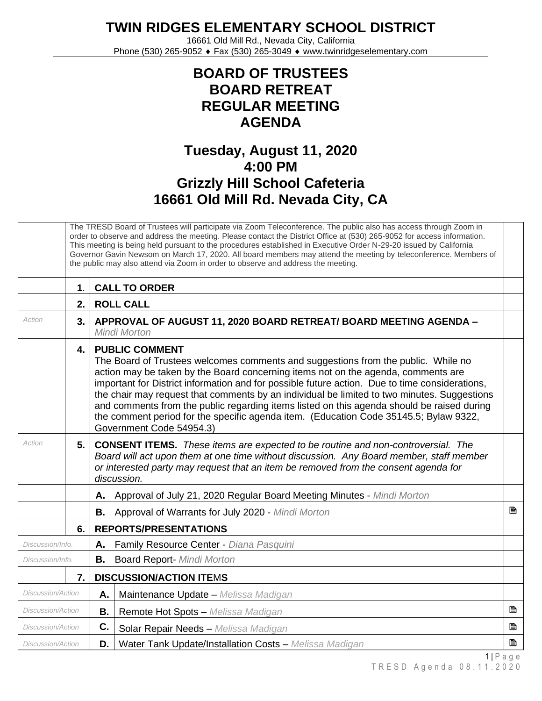**TWIN RIDGES ELEMENTARY SCHOOL DISTRICT**

16661 Old Mill Rd., Nevada City, California Phone (530) 265-9052 ♦ Fax (530) 265-3049 ♦ www.twinridgeselementary.com

## **BOARD OF TRUSTEES BOARD RETREAT REGULAR MEETING AGENDA**

## **Tuesday, August 11, 2020 4:00 PM Grizzly Hill School Cafeteria 16661 Old Mill Rd. Nevada City, CA**

|                            | The TRESD Board of Trustees will participate via Zoom Teleconference. The public also has access through Zoom in<br>order to observe and address the meeting. Please contact the District Office at (530) 265-9052 for access information.<br>This meeting is being held pursuant to the procedures established in Executive Order N-29-20 issued by California<br>Governor Gavin Newsom on March 17, 2020. All board members may attend the meeting by teleconference. Members of<br>the public may also attend via Zoom in order to observe and address the meeting. |                                                                                                                                                                                                                                                                                                                                                                                                                                                                                                                                                                                                                     |                                                                                                                                                                                                                                                                                          |   |  |
|----------------------------|------------------------------------------------------------------------------------------------------------------------------------------------------------------------------------------------------------------------------------------------------------------------------------------------------------------------------------------------------------------------------------------------------------------------------------------------------------------------------------------------------------------------------------------------------------------------|---------------------------------------------------------------------------------------------------------------------------------------------------------------------------------------------------------------------------------------------------------------------------------------------------------------------------------------------------------------------------------------------------------------------------------------------------------------------------------------------------------------------------------------------------------------------------------------------------------------------|------------------------------------------------------------------------------------------------------------------------------------------------------------------------------------------------------------------------------------------------------------------------------------------|---|--|
| <b>CALL TO ORDER</b><br>1. |                                                                                                                                                                                                                                                                                                                                                                                                                                                                                                                                                                        |                                                                                                                                                                                                                                                                                                                                                                                                                                                                                                                                                                                                                     |                                                                                                                                                                                                                                                                                          |   |  |
|                            | 2.                                                                                                                                                                                                                                                                                                                                                                                                                                                                                                                                                                     |                                                                                                                                                                                                                                                                                                                                                                                                                                                                                                                                                                                                                     | <b>ROLL CALL</b>                                                                                                                                                                                                                                                                         |   |  |
| Action                     | 3.                                                                                                                                                                                                                                                                                                                                                                                                                                                                                                                                                                     | APPROVAL OF AUGUST 11, 2020 BOARD RETREAT/ BOARD MEETING AGENDA -<br><b>Mindi Morton</b>                                                                                                                                                                                                                                                                                                                                                                                                                                                                                                                            |                                                                                                                                                                                                                                                                                          |   |  |
|                            | 4.                                                                                                                                                                                                                                                                                                                                                                                                                                                                                                                                                                     | <b>PUBLIC COMMENT</b><br>The Board of Trustees welcomes comments and suggestions from the public. While no<br>action may be taken by the Board concerning items not on the agenda, comments are<br>important for District information and for possible future action. Due to time considerations,<br>the chair may request that comments by an individual be limited to two minutes. Suggestions<br>and comments from the public regarding items listed on this agenda should be raised during<br>the comment period for the specific agenda item. (Education Code 35145.5; Bylaw 9322,<br>Government Code 54954.3) |                                                                                                                                                                                                                                                                                          |   |  |
| Action                     | 5.                                                                                                                                                                                                                                                                                                                                                                                                                                                                                                                                                                     |                                                                                                                                                                                                                                                                                                                                                                                                                                                                                                                                                                                                                     | <b>CONSENT ITEMS.</b> These items are expected to be routine and non-controversial. The<br>Board will act upon them at one time without discussion. Any Board member, staff member<br>or interested party may request that an item be removed from the consent agenda for<br>discussion. |   |  |
|                            |                                                                                                                                                                                                                                                                                                                                                                                                                                                                                                                                                                        | А.                                                                                                                                                                                                                                                                                                                                                                                                                                                                                                                                                                                                                  | Approval of July 21, 2020 Regular Board Meeting Minutes - Mindi Morton                                                                                                                                                                                                                   |   |  |
|                            |                                                                                                                                                                                                                                                                                                                                                                                                                                                                                                                                                                        | <b>B.</b>                                                                                                                                                                                                                                                                                                                                                                                                                                                                                                                                                                                                           | Approval of Warrants for July 2020 - Mindi Morton                                                                                                                                                                                                                                        | 昏 |  |
|                            | 6.                                                                                                                                                                                                                                                                                                                                                                                                                                                                                                                                                                     |                                                                                                                                                                                                                                                                                                                                                                                                                                                                                                                                                                                                                     | <b>REPORTS/PRESENTATIONS</b>                                                                                                                                                                                                                                                             |   |  |
| Discussion/Info.           |                                                                                                                                                                                                                                                                                                                                                                                                                                                                                                                                                                        | Α.                                                                                                                                                                                                                                                                                                                                                                                                                                                                                                                                                                                                                  | Family Resource Center - Diana Pasquini                                                                                                                                                                                                                                                  |   |  |
| Discussion/Info.           |                                                                                                                                                                                                                                                                                                                                                                                                                                                                                                                                                                        | <b>B.</b>                                                                                                                                                                                                                                                                                                                                                                                                                                                                                                                                                                                                           | <b>Board Report- Mindi Morton</b>                                                                                                                                                                                                                                                        |   |  |
|                            | 7.                                                                                                                                                                                                                                                                                                                                                                                                                                                                                                                                                                     |                                                                                                                                                                                                                                                                                                                                                                                                                                                                                                                                                                                                                     | <b>DISCUSSION/ACTION ITEMS</b>                                                                                                                                                                                                                                                           |   |  |
| Discussion/Action          |                                                                                                                                                                                                                                                                                                                                                                                                                                                                                                                                                                        | Α.                                                                                                                                                                                                                                                                                                                                                                                                                                                                                                                                                                                                                  | Maintenance Update - Melissa Madigan                                                                                                                                                                                                                                                     |   |  |
| <b>Discussion/Action</b>   |                                                                                                                                                                                                                                                                                                                                                                                                                                                                                                                                                                        | <b>B.</b>                                                                                                                                                                                                                                                                                                                                                                                                                                                                                                                                                                                                           | Remote Hot Spots - Melissa Madigan                                                                                                                                                                                                                                                       | 昏 |  |
| Discussion/Action          |                                                                                                                                                                                                                                                                                                                                                                                                                                                                                                                                                                        | C.                                                                                                                                                                                                                                                                                                                                                                                                                                                                                                                                                                                                                  | Solar Repair Needs - Melissa Madigan                                                                                                                                                                                                                                                     | B |  |
| Discussion/Action          |                                                                                                                                                                                                                                                                                                                                                                                                                                                                                                                                                                        | D.                                                                                                                                                                                                                                                                                                                                                                                                                                                                                                                                                                                                                  | Water Tank Update/Installation Costs - Melissa Madigan                                                                                                                                                                                                                                   | B |  |